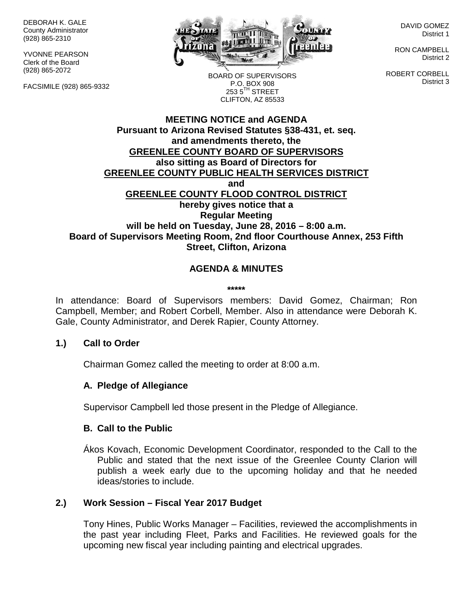DEBORAH K. GALE County Administrator (928) 865-2310

YVONNE PEARSON Clerk of the Board (928) 865-2072

FACSIMILE (928) 865-9332



DAVID GOMEZ District 1

RON CAMPBELL District 2

ROBERT CORBELL District 3

BOARD OF SUPERVISORS P.O. BOX 908  $253.5$ <sup>TH</sup> STREET CLIFTON, AZ 85533

#### **MEETING NOTICE and AGENDA Pursuant to Arizona Revised Statutes §38-431, et. seq. and amendments thereto, the GREENLEE COUNTY BOARD OF SUPERVISORS also sitting as Board of Directors for GREENLEE COUNTY PUBLIC HEALTH SERVICES DISTRICT and GREENLEE COUNTY FLOOD CONTROL DISTRICT hereby gives notice that a Regular Meeting will be held on Tuesday, June 28, 2016 – 8:00 a.m. Board of Supervisors Meeting Room, 2nd floor Courthouse Annex, 253 Fifth Street, Clifton, Arizona**

# **AGENDA & MINUTES**

**\*\*\*\*\***

In attendance: Board of Supervisors members: David Gomez, Chairman; Ron Campbell, Member; and Robert Corbell, Member. Also in attendance were Deborah K. Gale, County Administrator, and Derek Rapier, County Attorney.

## **1.) Call to Order**

Chairman Gomez called the meeting to order at 8:00 a.m.

## **A. Pledge of Allegiance**

Supervisor Campbell led those present in the Pledge of Allegiance.

#### **B. Call to the Public**

Ákos Kovach, Economic Development Coordinator, responded to the Call to the Public and stated that the next issue of the Greenlee County Clarion will publish a week early due to the upcoming holiday and that he needed ideas/stories to include.

## **2.) Work Session – Fiscal Year 2017 Budget**

Tony Hines, Public Works Manager – Facilities, reviewed the accomplishments in the past year including Fleet, Parks and Facilities. He reviewed goals for the upcoming new fiscal year including painting and electrical upgrades.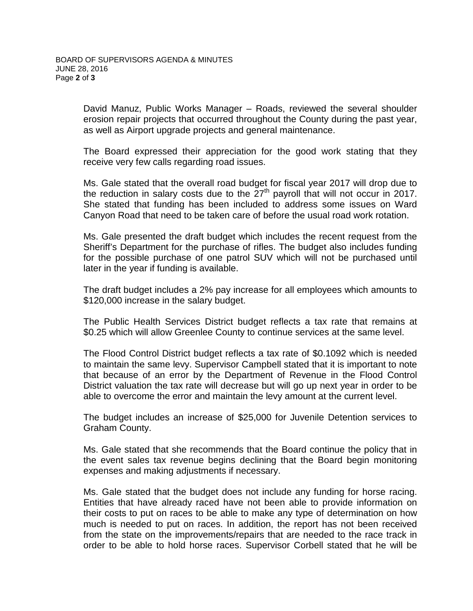David Manuz, Public Works Manager – Roads, reviewed the several shoulder erosion repair projects that occurred throughout the County during the past year, as well as Airport upgrade projects and general maintenance.

The Board expressed their appreciation for the good work stating that they receive very few calls regarding road issues.

Ms. Gale stated that the overall road budget for fiscal year 2017 will drop due to the reduction in salary costs due to the  $27<sup>th</sup>$  payroll that will not occur in 2017. She stated that funding has been included to address some issues on Ward Canyon Road that need to be taken care of before the usual road work rotation.

Ms. Gale presented the draft budget which includes the recent request from the Sheriff's Department for the purchase of rifles. The budget also includes funding for the possible purchase of one patrol SUV which will not be purchased until later in the year if funding is available.

The draft budget includes a 2% pay increase for all employees which amounts to \$120,000 increase in the salary budget.

The Public Health Services District budget reflects a tax rate that remains at \$0.25 which will allow Greenlee County to continue services at the same level.

The Flood Control District budget reflects a tax rate of \$0.1092 which is needed to maintain the same levy. Supervisor Campbell stated that it is important to note that because of an error by the Department of Revenue in the Flood Control District valuation the tax rate will decrease but will go up next year in order to be able to overcome the error and maintain the levy amount at the current level.

The budget includes an increase of \$25,000 for Juvenile Detention services to Graham County.

Ms. Gale stated that she recommends that the Board continue the policy that in the event sales tax revenue begins declining that the Board begin monitoring expenses and making adjustments if necessary.

Ms. Gale stated that the budget does not include any funding for horse racing. Entities that have already raced have not been able to provide information on their costs to put on races to be able to make any type of determination on how much is needed to put on races. In addition, the report has not been received from the state on the improvements/repairs that are needed to the race track in order to be able to hold horse races. Supervisor Corbell stated that he will be